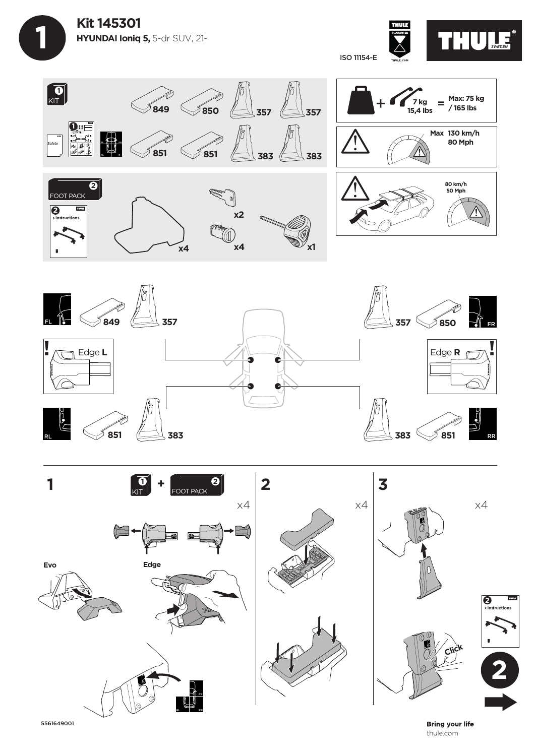

 **1**

THULE® ISO 11154-E







5561649001

**Bring your life** thule.com